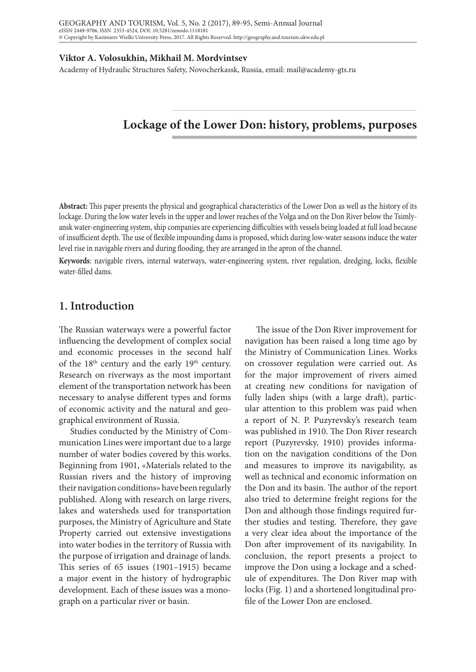#### **Viktor A. Volosukhin, Mikhail M. Mordvintsev**

Academy of Hydraulic Structures Safety, Novocherkassk, Russia, email: mail@academy-gts.ru

# **Lockage of the Lower Don: history, problems, purposes**

**Abstract:** This paper presents the physical and geographical characteristics of the Lower Don as well as the history of its lockage. During the low water levels in the upper and lower reaches of the Volga and on the Don River below the Tsimlyansk water-engineering system, ship companies are experiencing difficulties with vessels being loaded at full load because of insufficient depth. The use of flexible impounding dams is proposed, which during low-water seasons induce the water level rise in navigable rivers and during flooding, they are arranged in the apron of the channel.

**Keywords**: navigable rivers, internal waterways, water-engineering system, river regulation, dredging, locks, flexible water-filled dams.

### **1. Introduction**

The Russian waterways were a powerful factor influencing the development of complex social and economic processes in the second half of the 18<sup>th</sup> century and the early 19<sup>th</sup> century. Research on riverways as the most important element of the transportation network has been necessary to analyse different types and forms of economic activity and the natural and geographical environment of Russia.

Studies conducted by the Ministry of Communication Lines were important due to a large number of water bodies covered by this works. Beginning from 1901, «Materials related to the Russian rivers and the history of improving their navigation conditions» have been regularly published. Along with research on large rivers, lakes and watersheds used for transportation purposes, the Ministry of Agriculture and State Property carried out extensive investigations into water bodies in the territory of Russia with the purpose of irrigation and drainage of lands. This series of 65 issues (1901–1915) became a major event in the history of hydrographic development. Each of these issues was a monograph on a particular river or basin.

The issue of the Don River improvement for navigation has been raised a long time ago by the Ministry of Communication Lines. Works on crossover regulation were carried out. As for the major improvement of rivers aimed at creating new conditions for navigation of fully laden ships (with a large draft), particular attention to this problem was paid when a report of N. P. Puzyrevsky's research team was published in 1910. The Don River research report (Puzyrevsky, 1910) provides information on the navigation conditions of the Don and measures to improve its navigability, as well as technical and economic information on the Don and its basin. The author of the report also tried to determine freight regions for the Don and although those findings required further studies and testing. Therefore, they gave a very clear idea about the importance of the Don after improvement of its navigability. In conclusion, the report presents a project to improve the Don using a lockage and a schedule of expenditures. The Don River map with locks (Fig. 1) and a shortened longitudinal profile of the Lower Don are enclosed.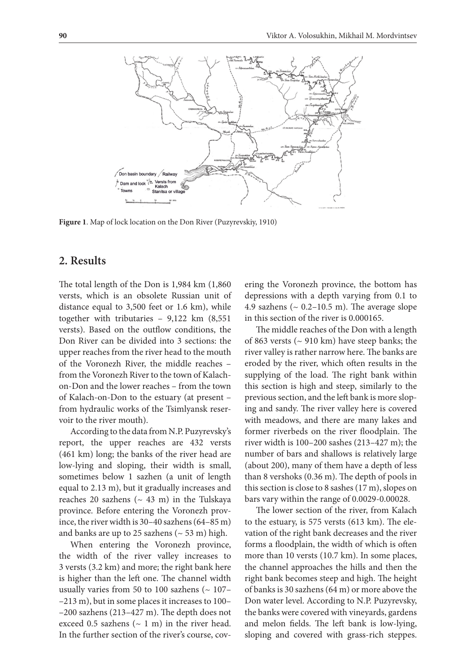

**Figure 1**. Map of lock location on the Don River (Puzyrevskiy, 1910)

#### **2. Results**

The total length of the Don is  $1,984$  km  $(1,860)$ versts, which is an obsolete Russian unit of distance equal to 3,500 feet or 1.6 km), while together with tributaries – 9,122 km (8,551 versts). Based on the outflow conditions, the Don River can be divided into 3 sections: the upper reaches from the river head to the mouth of the Voronezh River, the middle reaches – from the Voronezh River to the town of Kalachon-Don and the lower reaches – from the town of Kalach-on-Don to the estuary (at present – from hydraulic works of the Tsimlyansk reservoir to the river mouth).

According to the data from N.P. Puzyrevsky's report, the upper reaches are 432 versts (461 km) long; the banks of the river head are low-lying and sloping, their width is small, sometimes below 1 sazhen (a unit of length equal to 2.13 m), but it gradually increases and reaches 20 sazhens ( $\sim$  43 m) in the Tulskaya province. Before entering the Voronezh province, the river width is 30–40 sazhens (64–85 m) and banks are up to 25 sazhens ( $\sim$  53 m) high.

When entering the Voronezh province, the width of the river valley increases to 3 versts (3.2 km) and more; the right bank here is higher than the left one. The channel width usually varies from 50 to 100 sazhens ( $\sim$  107– –213 m), but in some places it increases to 100– –200 sazhens (213–427 m). The depth does not exceed 0.5 sazhens  $({\sim} 1 \text{ m})$  in the river head. In the further section of the river's course, covering the Voronezh province, the bottom has depressions with a depth varying from 0.1 to 4.9 sazhens ( $\sim$  0.2–10.5 m). The average slope in this section of the river is 0.000165.

The middle reaches of the Don with a length of 863 versts (~ 910 km) have steep banks; the river valley is rather narrow here. The banks are eroded by the river, which often results in the supplying of the load. The right bank within this section is high and steep, similarly to the previous section, and the left bank is more sloping and sandy. The river valley here is covered with meadows, and there are many lakes and former riverbeds on the river floodplain. The river width is 100–200 sashes (213–427 m); the number of bars and shallows is relatively large (about 200), many of them have a depth of less than 8 vershoks (0.36 m). The depth of pools in this section is close to 8 sashes (17 m), slopes on bars vary within the range of 0.0029-0.00028.

The lower section of the river, from Kalach to the estuary, is 575 versts (613 km). The elevation of the right bank decreases and the river forms a floodplain, the width of which is often more than 10 versts (10.7 km). In some places, the channel approaches the hills and then the right bank becomes steep and high. The height of banks is 30 sazhens (64 m) or more above the Don water level. According to N.P. Puzyrevsky, the banks were covered with vineyards, gardens and melon fields. The left bank is low-lying, sloping and covered with grass-rich steppes.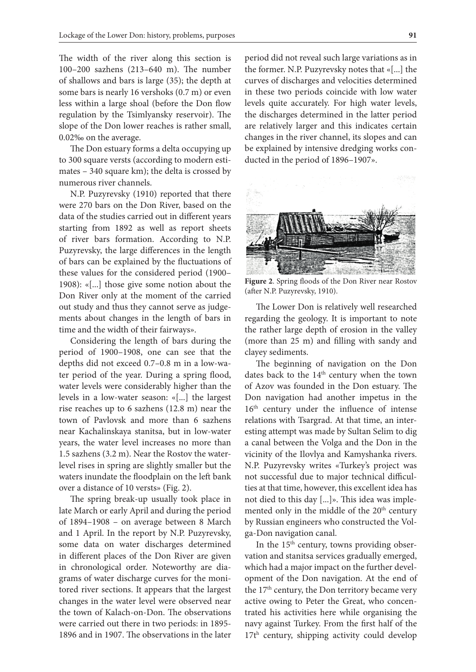The width of the river along this section is 100–200 sazhens (213–640 m). The number of shallows and bars is large (35); the depth at some bars is nearly 16 vershoks (0.7 m) or even less within a large shoal (before the Don flow regulation by the Tsimlyansky reservoir). The slope of the Don lower reaches is rather small, 0.02‰ on the average.

The Don estuary forms a delta occupying up to 300 square versts (according to modern estimates – 340 square km); the delta is crossed by numerous river channels.

N.P. Puzyrevsky (1910) reported that there were 270 bars on the Don River, based on the data of the studies carried out in different years starting from 1892 as well as report sheets of river bars formation. According to N.P. Puzyrevsky, the large differences in the length of bars can be explained by the fluctuations of these values for the considered period (1900– 1908): «[...] those give some notion about the Don River only at the moment of the carried out study and thus they cannot serve as judgements about changes in the length of bars in time and the width of their fairways».

Considering the length of bars during the period of 1900–1908, one can see that the depths did not exceed 0.7–0.8 m in a low-water period of the year. During a spring flood, water levels were considerably higher than the levels in a low-water season: «[...] the largest rise reaches up to 6 sazhens (12.8 m) near the town of Pavlovsk and more than 6 sazhens near Kachalinskaya stanitsa, but in low-water years, the water level increases no more than 1.5 sazhens (3.2 m). Near the Rostov the waterlevel rises in spring are slightly smaller but the waters inundate the floodplain on the left bank over a distance of 10 versts» (Fig. 2).

The spring break-up usually took place in late March or early April and during the period of 1894–1908 – on average between 8 March and 1 April. In the report by N.P. Puzyrevsky, some data on water discharges determined in different places of the Don River are given in chronological order. Noteworthy are diagrams of water discharge curves for the monitored river sections. It appears that the largest changes in the water level were observed near the town of Kalach-on-Don. The observations were carried out there in two periods: in 1895- 1896 and in 1907. The observations in the later

period did not reveal such large variations as in the former. N.P. Puzyrevsky notes that «[...] the curves of discharges and velocities determined in these two periods coincide with low water levels quite accurately. For high water levels, the discharges determined in the latter period are relatively larger and this indicates certain changes in the river channel, its slopes and can be explained by intensive dredging works conducted in the period of 1896–1907».



**Figure 2**. Spring floods of the Don River near Rostov (after N.P. Puzyrevsky, 1910).

The Lower Don is relatively well researched regarding the geology. It is important to note the rather large depth of erosion in the valley (more than 25 m) and filling with sandy and clayey sediments.

The beginning of navigation on the Don dates back to the 14<sup>th</sup> century when the town of Azov was founded in the Don estuary. The Don navigation had another impetus in the 16<sup>th</sup> century under the influence of intense relations with Tsargrad. At that time, an interesting attempt was made by Sultan Selim to dig a canal between the Volga and the Don in the vicinity of the Ilovlya and Kamyshanka rivers. N.P. Puzyrevsky writes «Turkey's project was not successful due to major technical difficulties at that time, however, this excellent idea has not died to this day [...]». This idea was implemented only in the middle of the 20<sup>th</sup> century by Russian engineers who constructed the Volga-Don navigation canal.

In the  $15<sup>th</sup>$  century, towns providing observation and stanitsa services gradually emerged, which had a major impact on the further development of the Don navigation. At the end of the 17<sup>th</sup> century, the Don territory became very active owing to Peter the Great, who concentrated his activities here while organising the navy against Turkey. From the first half of the 17th century, shipping activity could develop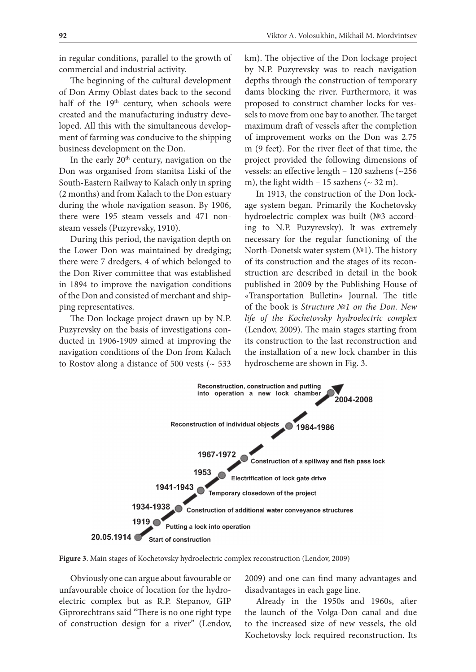in regular conditions, parallel to the growth of commercial and industrial activity.

The beginning of the cultural development of Don Army Oblast dates back to the second half of the 19<sup>th</sup> century, when schools were created and the manufacturing industry developed. All this with the simultaneous development of farming was conducive to the shipping business development on the Don.

In the early 20<sup>th</sup> century, navigation on the Don was organised from stanitsa Liski of the South-Eastern Railway to Kalach only in spring (2 months) and from Kalach to the Don estuary during the whole navigation season. By 1906, there were 195 steam vessels and 471 nonsteam vessels (Puzyrevsky, 1910).

During this period, the navigation depth on the Lower Don was maintained by dredging; there were 7 dredgers, 4 of which belonged to the Don River committee that was established in 1894 to improve the navigation conditions of the Don and consisted of merchant and shipping representatives.

The Don lockage project drawn up by N.P. Puzyrevsky on the basis of investigations conducted in 1906-1909 aimed at improving the navigation conditions of the Don from Kalach to Rostov along a distance of 500 vests ( $\sim$  533 km). The objective of the Don lockage project by N.P. Puzyrevsky was to reach navigation depths through the construction of temporary dams blocking the river. Furthermore, it was proposed to construct chamber locks for vessels to move from one bay to another. The target maximum draft of vessels after the completion of improvement works on the Don was 2.75 m (9 feet). For the river fleet of that time, the project provided the following dimensions of vessels: an effective length – 120 sazhens (~256 m), the light width  $-15$  sazhens ( $\sim$  32 m).

In 1913, the construction of the Don lockage system began. Primarily the Kochetovsky hydroelectric complex was built (№3 according to N.P. Puzyrevsky). It was extremely necessary for the regular functioning of the North-Donetsk water system (№1). The history of its construction and the stages of its reconstruction are described in detail in the book published in 2009 by the Publishing House of «Transportation Bulletin» Journal. The title of the book is *Structure №1 on the Don. New life of the Kochetovsky hydroelectric complex* (Lendov, 2009). The main stages starting from its construction to the last reconstruction and the installation of a new lock chamber in this hydroscheme are shown in Fig. 3.



**Figure 3**. Main stages of Kochetovsky hydroelectric complex reconstruction (Lendov, 2009)

Obviously one can argue about favourable or unfavourable choice of location for the hydroelectric complex but as R.P. Stepanov, GIP Giprorechtrans said "There is no one right type of construction design for a river" (Lendov,

2009) and one can find many advantages and disadvantages in each gage line.

Already in the 1950s and 1960s, after the launch of the Volga-Don canal and due to the increased size of new vessels, the old Kochetovsky lock required reconstruction. Its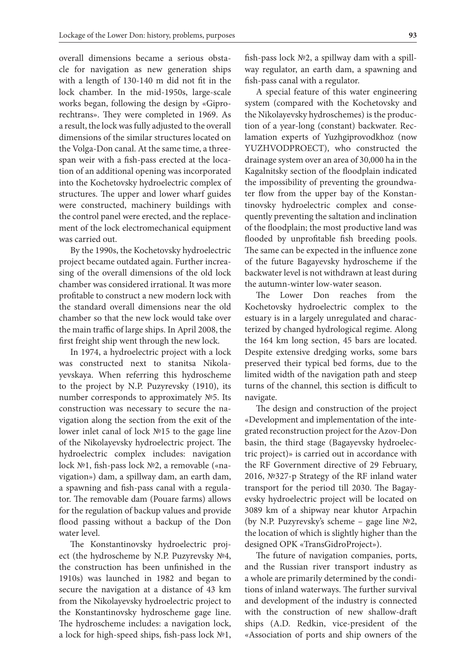overall dimensions became a serious obstacle for navigation as new generation ships with a length of 130-140 m did not fit in the lock chamber. In the mid-1950s, large-scale works began, following the design by «Giprorechtrans». They were completed in 1969. As a result, the lock was fully adjusted to the overall dimensions of the similar structures located on the Volga-Don canal. At the same time, a threespan weir with a fish-pass erected at the location of an additional opening was incorporated into the Kochetovsky hydroelectric complex of structures. The upper and lower wharf guides were constructed, machinery buildings with the control panel were erected, and the replacement of the lock electromechanical equipment was carried out.

By the 1990s, the Kochetovsky hydroelectric project became outdated again. Further increasing of the overall dimensions of the old lock chamber was considered irrational. It was more profitable to construct a new modern lock with the standard overall dimensions near the old chamber so that the new lock would take over the main traffic of large ships. In April 2008, the first freight ship went through the new lock.

In 1974, a hydroelectric project with a lock was constructed next to stanitsa Nikolayevskaya. When referring this hydroscheme to the project by N.P. Puzyrevsky (1910), its number corresponds to approximately №5. Its construction was necessary to secure the navigation along the section from the exit of the lower inlet canal of lock №15 to the gage line of the Nikolayevsky hydroelectric project. The hydroelectric complex includes: navigation lock №1, fish-pass lock №2, a removable («navigation») dam, a spillway dam, an earth dam, a spawning and fish-pass canal with a regulator. The removable dam (Pouare farms) allows for the regulation of backup values and provide flood passing without a backup of the Don water level.

The Konstantinovsky hydroelectric project (the hydroscheme by N.P. Puzyrevsky №4, the construction has been unfinished in the 1910s) was launched in 1982 and began to secure the navigation at a distance of 43 km from the Nikolayevsky hydroelectric project to the Konstantinovsky hydroscheme gage line. The hydroscheme includes: a navigation lock, a lock for high-speed ships, fish-pass lock №1, fish-pass lock №2, a spillway dam with a spillway regulator, an earth dam, a spawning and fish-pass canal with a regulator.

A special feature of this water engineering system (compared with the Kochetovsky and the Nikolayevsky hydroschemes) is the production of a year-long (constant) backwater. Reclamation experts of Yuzhgiprovodkhoz (now YUZHVODPROECT), who constructed the drainage system over an area of 30,000 ha in the Kagalnitsky section of the floodplain indicated the impossibility of preventing the groundwater flow from the upper bay of the Konstantinovsky hydroelectric complex and consequently preventing the saltation and inclination of the floodplain; the most productive land was flooded by unprofitable fish breeding pools. The same can be expected in the influence zone of the future Bagayevsky hydroscheme if the backwater level is not withdrawn at least during the autumn-winter low-water season.

The Lower Don reaches from the Kochetovsky hydroelectric complex to the estuary is in a largely unregulated and characterized by changed hydrological regime. Along the 164 km long section, 45 bars are located. Despite extensive dredging works, some bars preserved their typical bed forms, due to the limited width of the navigation path and steep turns of the channel, this section is difficult to navigate.

The design and construction of the project «Development and implementation of the integrated reconstruction project for the Azov-Don basin, the third stage (Bagayevsky hydroelectric project)» is carried out in accordance with the RF Government directive of 29 February, 2016, №327-p Strategy of the RF inland water transport for the period till 2030. The Bagayevsky hydroelectric project will be located on 3089 km of a shipway near khutor Arpachin (by N.P. Puzyrevsky's scheme – gage line №2, the location of which is slightly higher than the designed OPK «TransGidroProject»).

The future of navigation companies, ports, and the Russian river transport industry as a whole are primarily determined by the conditions of inland waterways. The further survival and development of the industry is connected with the construction of new shallow-draft ships (A.D. Redkin, vice-president of the «Association of ports and ship owners of the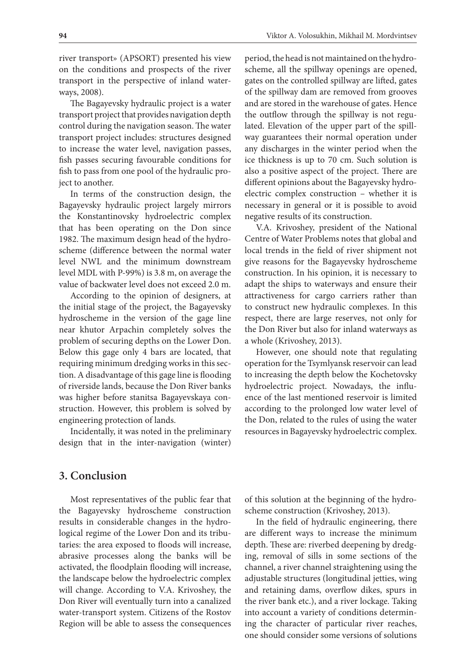river transport» (APSORT) presented his view on the conditions and prospects of the river transport in the perspective of inland waterways, 2008).

The Bagayevsky hydraulic project is a water transport project that provides navigation depth control during the navigation season. The water transport project includes: structures designed to increase the water level, navigation passes, fish passes securing favourable conditions for fish to pass from one pool of the hydraulic project to another.

In terms of the construction design, the Bagayevsky hydraulic project largely mirrors the Konstantinovsky hydroelectric complex that has been operating on the Don since 1982. The maximum design head of the hydroscheme (difference between the normal water level NWL and the minimum downstream level MDL with P-99%) is 3.8 m, on average the value of backwater level does not exceed 2.0 m.

According to the opinion of designers, at the initial stage of the project, the Bagayevsky hydroscheme in the version of the gage line near khutor Arpachin completely solves the problem of securing depths on the Lower Don. Below this gage only 4 bars are located, that requiring minimum dredging works in this section. A disadvantage of this gage line is flooding of riverside lands, because the Don River banks was higher before stanitsa Bagayevskaya construction. However, this problem is solved by engineering protection of lands.

Incidentally, it was noted in the preliminary design that in the inter-navigation (winter)

period, the head is not maintained on the hydroscheme, all the spillway openings are opened, gates on the controlled spillway are lifted, gates of the spillway dam are removed from grooves and are stored in the warehouse of gates. Hence the outflow through the spillway is not regulated. Elevation of the upper part of the spillway guarantees their normal operation under any discharges in the winter period when the ice thickness is up to 70 cm. Such solution is also a positive aspect of the project. There are different opinions about the Bagayevsky hydroelectric complex construction – whether it is necessary in general or it is possible to avoid negative results of its construction.

V.A. Krivoshey, president of the National Centre of Water Problems notes that global and local trends in the field of river shipment not give reasons for the Bagayevsky hydroscheme construction. In his opinion, it is necessary to adapt the ships to waterways and ensure their attractiveness for cargo carriers rather than to construct new hydraulic complexes. In this respect, there are large reserves, not only for the Don River but also for inland waterways as a whole (Krivoshey, 2013).

However, one should note that regulating operation for the Tsymlyansk reservoir can lead to increasing the depth below the Kochetovsky hydroelectric project. Nowadays, the influence of the last mentioned reservoir is limited according to the prolonged low water level of the Don, related to the rules of using the water resources in Bagayevsky hydroelectric complex.

## **3. Conclusion**

Most representatives of the public fear that the Bagayevsky hydroscheme construction results in considerable changes in the hydrological regime of the Lower Don and its tributaries: the area exposed to floods will increase, abrasive processes along the banks will be activated, the floodplain flooding will increase, the landscape below the hydroelectric complex will change. According to V.A. Krivoshey, the Don River will eventually turn into a canalized water-transport system. Citizens of the Rostov Region will be able to assess the consequences

of this solution at the beginning of the hydroscheme construction (Krivoshey, 2013).

In the field of hydraulic engineering, there are different ways to increase the minimum depth. These are: riverbed deepening by dredging, removal of sills in some sections of the channel, a river channel straightening using the adjustable structures (longitudinal jetties, wing and retaining dams, overflow dikes, spurs in the river bank etc.), and a river lockage. Taking into account a variety of conditions determining the character of particular river reaches, one should consider some versions of solutions